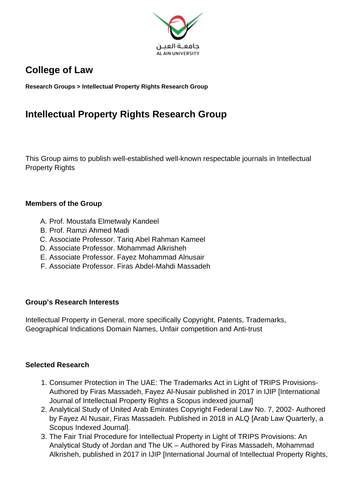

## **College of Law**

**Research Groups > Intellectual Property Rights Research Group**

# **Intellectual Property Rights Research Group**

This Group aims to publish well-established well-known respectable journals in Intellectual Property Rights

#### **Members of the Group**

- A. Prof. Moustafa Elmetwaly Kandeel
- B. Prof. Ramzi Ahmed Madi
- C. Associate Professor. Tariq Abel Rahman Kameel
- D. Associate Professor. Mohammad Alkrisheh
- E. Associate Professor. Fayez Mohammad Alnusair
- F. Associate Professor. Firas Abdel-Mahdi Massadeh

## **Group's Research Interests**

Intellectual Property in General, more specifically Copyright, Patents, Trademarks, Geographical Indications Domain Names, Unfair competition and Anti-trust

## **Selected Research**

- 1. Consumer Protection in The UAE: The Trademarks Act in Light of TRIPS Provisions-Authored by Firas Massadeh, Fayez Al-Nusair published in 2017 in IJIP [International Journal of Intellectual Property Rights a Scopus indexed journal]
- 2. Analytical Study of United Arab Emirates Copyright Federal Law No. 7, 2002- Authored by Fayez Al Nusair, Firas Massadeh. Published in 2018 in ALQ [Arab Law Quarterly, a Scopus Indexed Journal].
- 3. The Fair Trial Procedure for Intellectual Property in Light of TRIPS Provisions: An Analytical Study of Jordan and The UK – Authored by Firas Massadeh, Mohammad Alkrisheh, published in 2017 in IJIP [International Journal of Intellectual Property Rights,